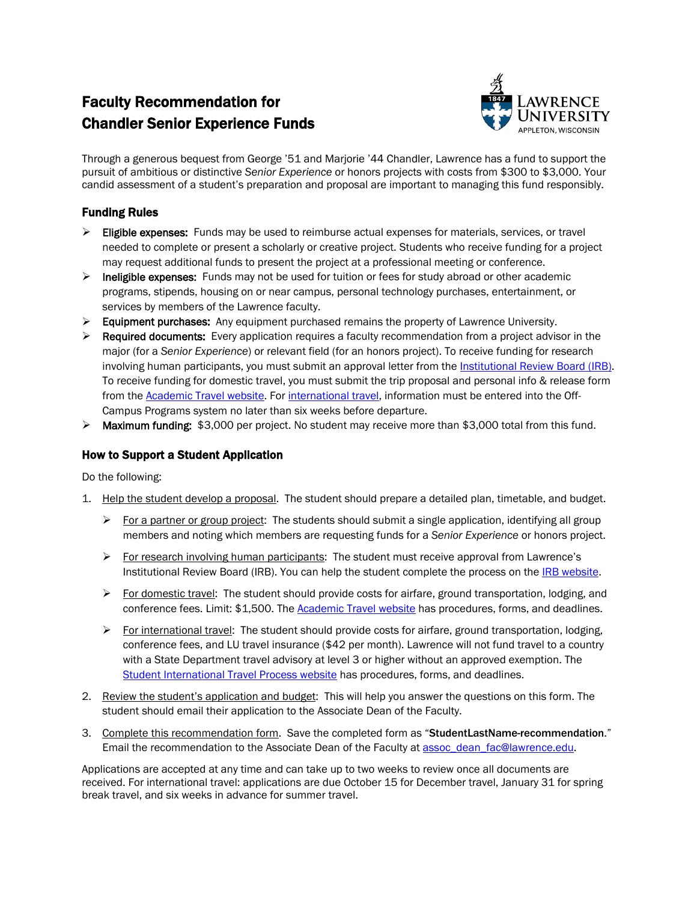## Faculty Recommendation for Chandler Senior Experience Funds



Through a generous bequest from George '51 and Marjorie '44 Chandler, Lawrence has a fund to support the pursuit of ambitious or distinctive *Senior Experience* or honors projects with costs from \$300 to \$3,000. Your candid assessment of a student's preparation and proposal are important to managing this fund responsibly.

## Funding Rules

- $\triangleright$  Eligible expenses: Funds may be used to reimburse actual expenses for materials, services, or travel needed to complete or present a scholarly or creative project. Students who receive funding for a project may request additional funds to present the project at a professional meeting or conference.
- $\triangleright$  Ineligible expenses: Funds may not be used for tuition or fees for study abroad or other academic programs, stipends, housing on or near campus, personal technology purchases, entertainment, or services by members of the Lawrence faculty.
- $\triangleright$  Equipment purchases: Any equipment purchased remains the property of Lawrence University.
- $\triangleright$  Required documents: Every application requires a faculty recommendation from a project advisor in the major (for a *Senior Experience*) or relevant field (for an honors project). To receive funding for research involving human participants, you must submit an approval letter from the [Institutional Review Board \(IRB\).](http://www.lawrence.edu/academics/research/irb)  To receive funding for domestic travel, you must submit the trip proposal and personal info & release form from the [Academic Travel website.](http://www.lawrence.edu/faculty/academic-travel) For [international travel,](http://www.lawrence.edu/academics/off-campus/off-campus_study_policies_procedures/student_intl_travel_process) information must be entered into the Off-Campus Programs system no later than six weeks before departure.
- Maximum funding: \$3,000 per project. No student may receive more than \$3,000 total from this fund.

## How to Support a Student Application

Do the following:

- 1. Help the student develop a proposal. The student should prepare a detailed plan, timetable, and budget.
	- $\triangleright$  For a partner or group project: The students should submit a single application, identifying all group members and noting which members are requesting funds for a *Senior Experience* or honors project.
	- For research involving human participants: The student must receive approval from Lawrence's Institutional Review Board (IRB). You can help the student complete the process on the [IRB website.](http://www.lawrence.edu/academics/research)
	- $\triangleright$  For domestic travel: The student should provide costs for airfare, ground transportation, lodging, and conference fees. Limit: \$1,500. The **Academic Travel website** has procedures, forms, and deadlines.
	- $\triangleright$  For international travel: The student should provide costs for airfare, ground transportation, lodging, conference fees, and LU travel insurance (\$42 per month). Lawrence will not fund travel to a country with a State Department travel advisory at level 3 or higher without an approved exemption. The [Student International Travel Process website](http://www.lawrence.edu/academics/off-campus/off-campus_study_policies_procedures/student_intl_travel_process) has procedures, forms, and deadlines.
- 2. Review the student's application and budget: This will help you answer the questions on this form. The student should email their application to the Associate Dean of the Faculty.
- 3. Complete this recommendation form. Save the completed form as "StudentLastName-recommendation." Email the recommendation to the Associate Dean of the Faculty a[t assoc\\_dean\\_fac@lawrence.edu.](mailto:assoc_dean_fac@lawrence.edu)

Applications are accepted at any time and can take up to two weeks to review once all documents are received. For international travel: applications are due October 15 for December travel, January 31 for spring break travel, and six weeks in advance for summer travel.